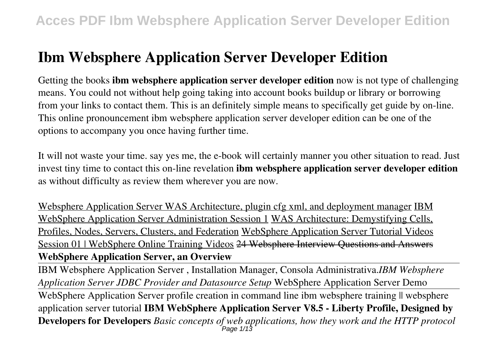Getting the books **ibm websphere application server developer edition** now is not type of challenging means. You could not without help going taking into account books buildup or library or borrowing from your links to contact them. This is an definitely simple means to specifically get guide by on-line. This online pronouncement ibm websphere application server developer edition can be one of the options to accompany you once having further time.

It will not waste your time. say yes me, the e-book will certainly manner you other situation to read. Just invest tiny time to contact this on-line revelation **ibm websphere application server developer edition** as without difficulty as review them wherever you are now.

Websphere Application Server WAS Architecture, plugin cfg xml, and deployment manager IBM WebSphere Application Server Administration Session 1 WAS Architecture: Demystifying Cells, Profiles, Nodes, Servers, Clusters, and Federation WebSphere Application Server Tutorial Videos Session 01 | WebSphere Online Training Videos 24 Websphere Interview Questions and Answers **WebSphere Application Server, an Overview**

IBM Websphere Application Server , Installation Manager, Consola Administrativa.*IBM Websphere Application Server JDBC Provider and Datasource Setup* WebSphere Application Server Demo

WebSphere Application Server profile creation in command line ibm websphere training  $\parallel$  websphere application server tutorial **IBM WebSphere Application Server V8.5 - Liberty Profile, Designed by Developers for Developers** *Basic concepts of web applications, how they work and the HTTP protocol*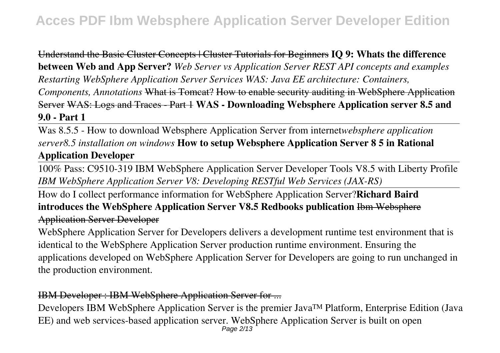Understand the Basic Cluster Concepts | Cluster Tutorials for Beginners **IQ 9: Whats the difference between Web and App Server?** *Web Server vs Application Server REST API concepts and examples Restarting WebSphere Application Server Services WAS: Java EE architecture: Containers, Components, Annotations* What is Tomcat? How to enable security auditing in WebSphere Application Server WAS: Logs and Traces - Part 1 **WAS - Downloading Websphere Application server 8.5 and 9.0 - Part 1**

Was 8.5.5 - How to download Websphere Application Server from internet*websphere application server8.5 installation on windows* **How to setup Websphere Application Server 8 5 in Rational Application Developer**

100% Pass: C9510-319 IBM WebSphere Application Server Developer Tools V8.5 with Liberty Profile *IBM WebSphere Application Server V8: Developing RESTful Web Services (JAX-RS)*

How do I collect performance information for WebSphere Application Server?**Richard Baird introduces the WebSphere Application Server V8.5 Redbooks publication** Ibm Websphere Application Server Developer

WebSphere Application Server for Developers delivers a development runtime test environment that is identical to the WebSphere Application Server production runtime environment. Ensuring the applications developed on WebSphere Application Server for Developers are going to run unchanged in the production environment.

### IBM Developer : IBM WebSphere Application Server for ...

Developers IBM WebSphere Application Server is the premier Java™ Platform, Enterprise Edition (Java EE) and web services-based application server. WebSphere Application Server is built on open Page 2/13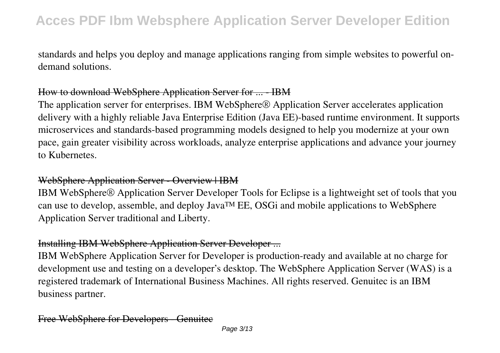standards and helps you deploy and manage applications ranging from simple websites to powerful ondemand solutions.

### How to download WebSphere Application Server for ... - IBM

The application server for enterprises. IBM WebSphere® Application Server accelerates application delivery with a highly reliable Java Enterprise Edition (Java EE)-based runtime environment. It supports microservices and standards-based programming models designed to help you modernize at your own pace, gain greater visibility across workloads, analyze enterprise applications and advance your journey to Kubernetes.

#### WebSphere Application Server - Overview | IBM

IBM WebSphere® Application Server Developer Tools for Eclipse is a lightweight set of tools that you can use to develop, assemble, and deploy Java™ EE, OSGi and mobile applications to WebSphere Application Server traditional and Liberty.

### Installing IBM WebSphere Application Server Developer ...

IBM WebSphere Application Server for Developer is production-ready and available at no charge for development use and testing on a developer's desktop. The WebSphere Application Server (WAS) is a registered trademark of International Business Machines. All rights reserved. Genuitec is an IBM business partner.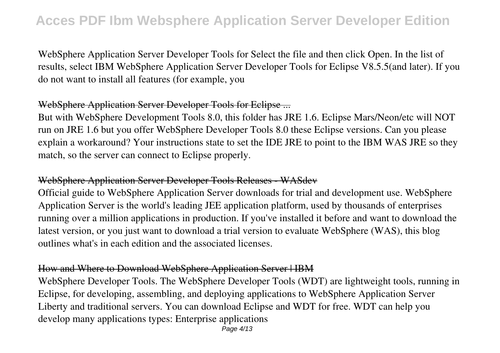WebSphere Application Server Developer Tools for Select the file and then click Open. In the list of results, select IBM WebSphere Application Server Developer Tools for Eclipse V8.5.5(and later). If you do not want to install all features (for example, you

### WebSphere Application Server Developer Tools for Eclipse ...

But with WebSphere Development Tools 8.0, this folder has JRE 1.6. Eclipse Mars/Neon/etc will NOT run on JRE 1.6 but you offer WebSphere Developer Tools 8.0 these Eclipse versions. Can you please explain a workaround? Your instructions state to set the IDE JRE to point to the IBM WAS JRE so they match, so the server can connect to Eclipse properly.

### WebSphere Application Server Developer Tools Releases - WASdev

Official guide to WebSphere Application Server downloads for trial and development use. WebSphere Application Server is the world's leading JEE application platform, used by thousands of enterprises running over a million applications in production. If you've installed it before and want to download the latest version, or you just want to download a trial version to evaluate WebSphere (WAS), this blog outlines what's in each edition and the associated licenses.

### How and Where to Download WebSphere Application Server | IBM

WebSphere Developer Tools. The WebSphere Developer Tools (WDT) are lightweight tools, running in Eclipse, for developing, assembling, and deploying applications to WebSphere Application Server Liberty and traditional servers. You can download Eclipse and WDT for free. WDT can help you develop many applications types: Enterprise applications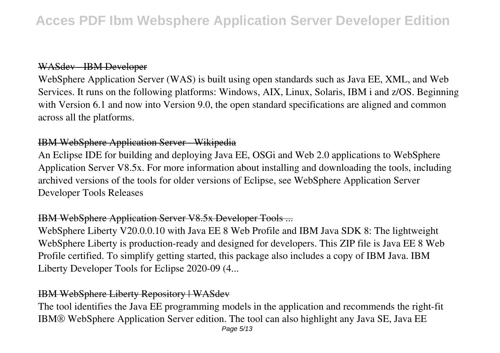#### WASdev - IBM Developer

WebSphere Application Server (WAS) is built using open standards such as Java EE, XML, and Web Services. It runs on the following platforms: Windows, AIX, Linux, Solaris, IBM i and z/OS. Beginning with Version 6.1 and now into Version 9.0, the open standard specifications are aligned and common across all the platforms.

### IBM WebSphere Application Server - Wikipedia

An Eclipse IDE for building and deploying Java EE, OSGi and Web 2.0 applications to WebSphere Application Server V8.5x. For more information about installing and downloading the tools, including archived versions of the tools for older versions of Eclipse, see WebSphere Application Server Developer Tools Releases

### IBM WebSphere Application Server V8.5x Developer Tools ...

WebSphere Liberty V20.0.0.10 with Java EE 8 Web Profile and IBM Java SDK 8: The lightweight WebSphere Liberty is production-ready and designed for developers. This ZIP file is Java EE 8 Web Profile certified. To simplify getting started, this package also includes a copy of IBM Java. IBM Liberty Developer Tools for Eclipse 2020-09 (4...

### IBM WebSphere Liberty Repository | WASdev

The tool identifies the Java EE programming models in the application and recommends the right-fit IBM® WebSphere Application Server edition. The tool can also highlight any Java SE, Java EE Page 5/13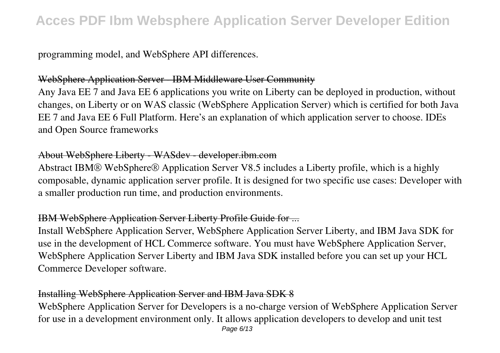programming model, and WebSphere API differences.

#### WebSphere Application Server - IBM Middleware User Community

Any Java EE 7 and Java EE 6 applications you write on Liberty can be deployed in production, without changes, on Liberty or on WAS classic (WebSphere Application Server) which is certified for both Java EE 7 and Java EE 6 Full Platform. Here's an explanation of which application server to choose. IDEs and Open Source frameworks

### About WebSphere Liberty - WASdev - developer.ibm.com

Abstract IBM® WebSphere® Application Server V8.5 includes a Liberty profile, which is a highly composable, dynamic application server profile. It is designed for two specific use cases: Developer with a smaller production run time, and production environments.

### IBM WebSphere Application Server Liberty Profile Guide for ...

Install WebSphere Application Server, WebSphere Application Server Liberty, and IBM Java SDK for use in the development of HCL Commerce software. You must have WebSphere Application Server, WebSphere Application Server Liberty and IBM Java SDK installed before you can set up your HCL Commerce Developer software.

### Installing WebSphere Application Server and IBM Java SDK 8

WebSphere Application Server for Developers is a no-charge version of WebSphere Application Server for use in a development environment only. It allows application developers to develop and unit test Page 6/13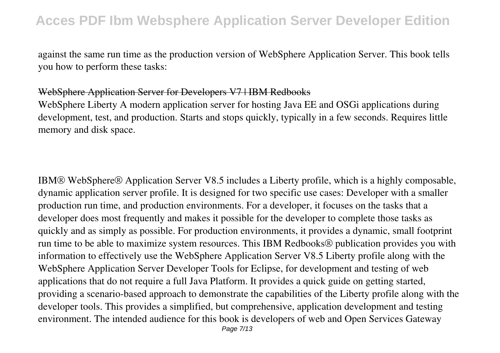against the same run time as the production version of WebSphere Application Server. This book tells you how to perform these tasks:

### WebSphere Application Server for Developers V7 | IBM Redbooks

WebSphere Liberty A modern application server for hosting Java EE and OSGi applications during development, test, and production. Starts and stops quickly, typically in a few seconds. Requires little memory and disk space.

IBM® WebSphere® Application Server V8.5 includes a Liberty profile, which is a highly composable, dynamic application server profile. It is designed for two specific use cases: Developer with a smaller production run time, and production environments. For a developer, it focuses on the tasks that a developer does most frequently and makes it possible for the developer to complete those tasks as quickly and as simply as possible. For production environments, it provides a dynamic, small footprint run time to be able to maximize system resources. This IBM Redbooks® publication provides you with information to effectively use the WebSphere Application Server V8.5 Liberty profile along with the WebSphere Application Server Developer Tools for Eclipse, for development and testing of web applications that do not require a full Java Platform. It provides a quick guide on getting started, providing a scenario-based approach to demonstrate the capabilities of the Liberty profile along with the developer tools. This provides a simplified, but comprehensive, application development and testing environment. The intended audience for this book is developers of web and Open Services Gateway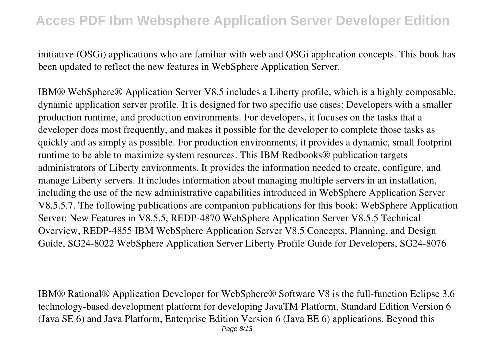initiative (OSGi) applications who are familiar with web and OSGi application concepts. This book has been updated to reflect the new features in WebSphere Application Server.

IBM® WebSphere® Application Server V8.5 includes a Liberty profile, which is a highly composable, dynamic application server profile. It is designed for two specific use cases: Developers with a smaller production runtime, and production environments. For developers, it focuses on the tasks that a developer does most frequently, and makes it possible for the developer to complete those tasks as quickly and as simply as possible. For production environments, it provides a dynamic, small footprint runtime to be able to maximize system resources. This IBM Redbooks® publication targets administrators of Liberty environments. It provides the information needed to create, configure, and manage Liberty servers. It includes information about managing multiple servers in an installation, including the use of the new administrative capabilities introduced in WebSphere Application Server V8.5.5.7. The following publications are companion publications for this book: WebSphere Application Server: New Features in V8.5.5, REDP-4870 WebSphere Application Server V8.5.5 Technical Overview, REDP-4855 IBM WebSphere Application Server V8.5 Concepts, Planning, and Design Guide, SG24-8022 WebSphere Application Server Liberty Profile Guide for Developers, SG24-8076

IBM® Rational® Application Developer for WebSphere® Software V8 is the full-function Eclipse 3.6 technology-based development platform for developing JavaTM Platform, Standard Edition Version 6 (Java SE 6) and Java Platform, Enterprise Edition Version 6 (Java EE 6) applications. Beyond this Page 8/13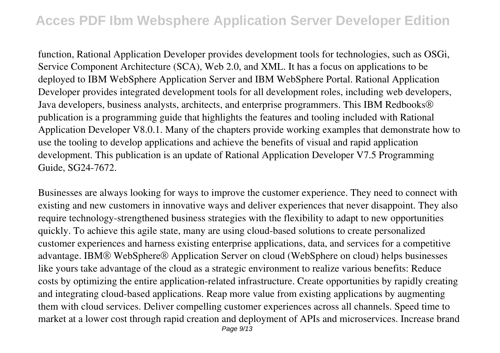function, Rational Application Developer provides development tools for technologies, such as OSGi, Service Component Architecture (SCA), Web 2.0, and XML. It has a focus on applications to be deployed to IBM WebSphere Application Server and IBM WebSphere Portal. Rational Application Developer provides integrated development tools for all development roles, including web developers, Java developers, business analysts, architects, and enterprise programmers. This IBM Redbooks<sup>®</sup> publication is a programming guide that highlights the features and tooling included with Rational Application Developer V8.0.1. Many of the chapters provide working examples that demonstrate how to use the tooling to develop applications and achieve the benefits of visual and rapid application development. This publication is an update of Rational Application Developer V7.5 Programming Guide, SG24-7672.

Businesses are always looking for ways to improve the customer experience. They need to connect with existing and new customers in innovative ways and deliver experiences that never disappoint. They also require technology-strengthened business strategies with the flexibility to adapt to new opportunities quickly. To achieve this agile state, many are using cloud-based solutions to create personalized customer experiences and harness existing enterprise applications, data, and services for a competitive advantage. IBM® WebSphere® Application Server on cloud (WebSphere on cloud) helps businesses like yours take advantage of the cloud as a strategic environment to realize various benefits: Reduce costs by optimizing the entire application-related infrastructure. Create opportunities by rapidly creating and integrating cloud-based applications. Reap more value from existing applications by augmenting them with cloud services. Deliver compelling customer experiences across all channels. Speed time to market at a lower cost through rapid creation and deployment of APIs and microservices. Increase brand Page 9/13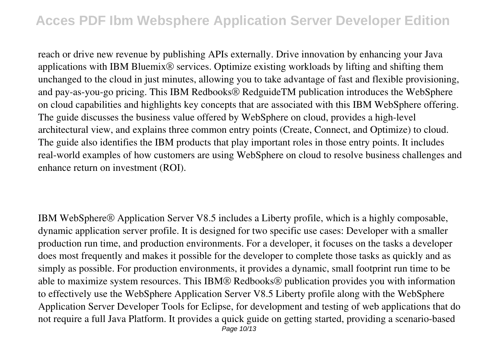reach or drive new revenue by publishing APIs externally. Drive innovation by enhancing your Java applications with IBM Bluemix® services. Optimize existing workloads by lifting and shifting them unchanged to the cloud in just minutes, allowing you to take advantage of fast and flexible provisioning, and pay-as-you-go pricing. This IBM Redbooks® RedguideTM publication introduces the WebSphere on cloud capabilities and highlights key concepts that are associated with this IBM WebSphere offering. The guide discusses the business value offered by WebSphere on cloud, provides a high-level architectural view, and explains three common entry points (Create, Connect, and Optimize) to cloud. The guide also identifies the IBM products that play important roles in those entry points. It includes real-world examples of how customers are using WebSphere on cloud to resolve business challenges and enhance return on investment (ROI).

IBM WebSphere® Application Server V8.5 includes a Liberty profile, which is a highly composable, dynamic application server profile. It is designed for two specific use cases: Developer with a smaller production run time, and production environments. For a developer, it focuses on the tasks a developer does most frequently and makes it possible for the developer to complete those tasks as quickly and as simply as possible. For production environments, it provides a dynamic, small footprint run time to be able to maximize system resources. This IBM® Redbooks® publication provides you with information to effectively use the WebSphere Application Server V8.5 Liberty profile along with the WebSphere Application Server Developer Tools for Eclipse, for development and testing of web applications that do not require a full Java Platform. It provides a quick guide on getting started, providing a scenario-based Page 10/13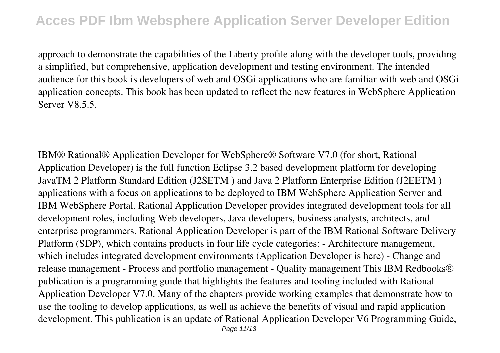approach to demonstrate the capabilities of the Liberty profile along with the developer tools, providing a simplified, but comprehensive, application development and testing environment. The intended audience for this book is developers of web and OSGi applications who are familiar with web and OSGi application concepts. This book has been updated to reflect the new features in WebSphere Application Server V8.5.5.

IBM® Rational® Application Developer for WebSphere® Software V7.0 (for short, Rational Application Developer) is the full function Eclipse 3.2 based development platform for developing JavaTM 2 Platform Standard Edition (J2SETM ) and Java 2 Platform Enterprise Edition (J2EETM ) applications with a focus on applications to be deployed to IBM WebSphere Application Server and IBM WebSphere Portal. Rational Application Developer provides integrated development tools for all development roles, including Web developers, Java developers, business analysts, architects, and enterprise programmers. Rational Application Developer is part of the IBM Rational Software Delivery Platform (SDP), which contains products in four life cycle categories: - Architecture management, which includes integrated development environments (Application Developer is here) - Change and release management - Process and portfolio management - Quality management This IBM Redbooks® publication is a programming guide that highlights the features and tooling included with Rational Application Developer V7.0. Many of the chapters provide working examples that demonstrate how to use the tooling to develop applications, as well as achieve the benefits of visual and rapid application development. This publication is an update of Rational Application Developer V6 Programming Guide, Page 11/13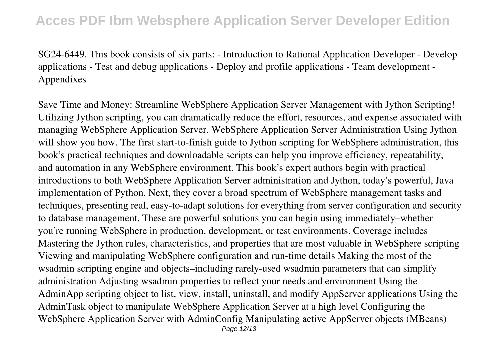SG24-6449. This book consists of six parts: - Introduction to Rational Application Developer - Develop applications - Test and debug applications - Deploy and profile applications - Team development - Appendixes

Save Time and Money: Streamline WebSphere Application Server Management with Jython Scripting! Utilizing Jython scripting, you can dramatically reduce the effort, resources, and expense associated with managing WebSphere Application Server. WebSphere Application Server Administration Using Jython will show you how. The first start-to-finish guide to Jython scripting for WebSphere administration, this book's practical techniques and downloadable scripts can help you improve efficiency, repeatability, and automation in any WebSphere environment. This book's expert authors begin with practical introductions to both WebSphere Application Server administration and Jython, today's powerful, Java implementation of Python. Next, they cover a broad spectrum of WebSphere management tasks and techniques, presenting real, easy-to-adapt solutions for everything from server configuration and security to database management. These are powerful solutions you can begin using immediately–whether you're running WebSphere in production, development, or test environments. Coverage includes Mastering the Jython rules, characteristics, and properties that are most valuable in WebSphere scripting Viewing and manipulating WebSphere configuration and run-time details Making the most of the wsadmin scripting engine and objects–including rarely-used wsadmin parameters that can simplify administration Adjusting wsadmin properties to reflect your needs and environment Using the AdminApp scripting object to list, view, install, uninstall, and modify AppServer applications Using the AdminTask object to manipulate WebSphere Application Server at a high level Configuring the WebSphere Application Server with AdminConfig Manipulating active AppServer objects (MBeans) Page 12/13